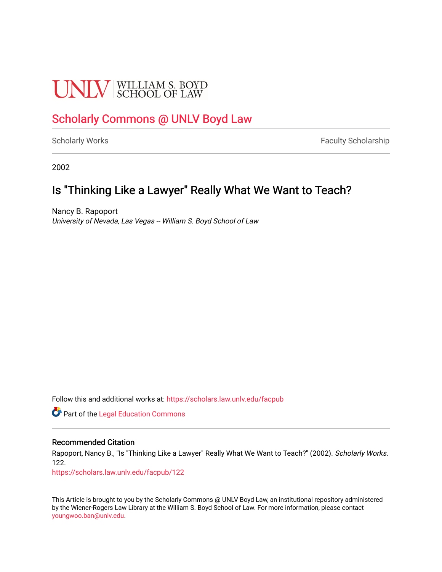# **UNLV** SCHOOL OF LAW

# [Scholarly Commons @ UNLV Boyd Law](https://scholars.law.unlv.edu/)

[Scholarly Works](https://scholars.law.unlv.edu/facpub) **Faculty Scholarship** Faculty Scholarship

2002

# Is "Thinking Like a Lawyer" Really What We Want to Teach?

Nancy B. Rapoport University of Nevada, Las Vegas -- William S. Boyd School of Law

Follow this and additional works at: [https://scholars.law.unlv.edu/facpub](https://scholars.law.unlv.edu/facpub?utm_source=scholars.law.unlv.edu%2Ffacpub%2F122&utm_medium=PDF&utm_campaign=PDFCoverPages)

**C** Part of the Legal Education Commons

## Recommended Citation

Rapoport, Nancy B., "Is "Thinking Like a Lawyer" Really What We Want to Teach?" (2002). Scholarly Works. 122.

[https://scholars.law.unlv.edu/facpub/122](https://scholars.law.unlv.edu/facpub/122?utm_source=scholars.law.unlv.edu%2Ffacpub%2F122&utm_medium=PDF&utm_campaign=PDFCoverPages)

This Article is brought to you by the Scholarly Commons @ UNLV Boyd Law, an institutional repository administered by the Wiener-Rogers Law Library at the William S. Boyd School of Law. For more information, please contact [youngwoo.ban@unlv.edu.](mailto:youngwoo.ban@unlv.edu)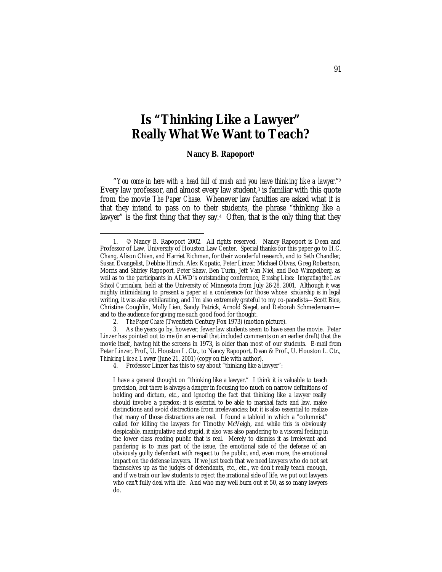# **Is "Thinking Like a Lawyer" Really What We Want to Teach?**

**Nancy B. Rapoport<sup>1</sup>**

"*You come in here with a head full of mush and you leave thinking like a lawyer.*"<sup>2</sup> Every law professor, and almost every law student,<sup>3</sup> is familiar with this quote from the movie *The Paper Chase*. Whenever law faculties are asked what it is that they intend to pass on to their students, the phrase "thinking like a lawyer" is the first thing that they say.4 Often, that is the *only* thing that they

<sup>1. ©</sup> Nancy B. Rapoport 2002. All rights reserved. Nancy Rapoport is Dean and Professor of Law, University of Houston Law Center. Special thanks for this paper go to H.C. Chang, Alison Chien, and Harriet Richman, for their wonderful research, and to Seth Chandler, Susan Evangelist, Debbie Hirsch, Alex Kopatic, Peter Linzer, Michael Olivas, Greg Robertson, Morris and Shirley Rapoport, Peter Shaw, Ben Turin, Jeff Van Niel, and Bob Wimpelberg, as well as to the participants in ALWD's outstanding conference, *Erasing Lines: Integrating the Law School Curriculum,* held at the University of Minnesota from July 26-28, 2001. Although it was mighty intimidating to present a paper at a conference for those whose *scholarship* is in legal writing, it was also exhilarating, and I'm also extremely grateful to my co-panelists—Scott Bice, Christine Coughlin, Molly Lien, Sandy Patrick, Arnold Siegel, and Deborah Schmedemann and to the audience for giving me such good food for thought.

<sup>2.</sup> *The Paper Chase* (Twentieth Century Fox 1973) (motion picture).

<sup>3.</sup> As the years go by, however, fewer law students seem to have seen the movie. Peter Linzer has pointed out to me (in an e-mail that included comments on an earlier draft) that the movie itself, having hit the screens in 1973, is older than most of our students. E-mail from Peter Linzer, Prof., U. Houston L. Ctr., to Nancy Rapoport, Dean & Prof., U. Houston L. Ctr., *Thinking Like a Lawyer* (June 21, 2001) (copy on file with author).

<sup>4.</sup> Professor Linzer has this to say about "thinking like a lawyer":

I have a general thought on "thinking like a lawyer." I think it is valuable to teach precision, but there is always a danger in focusing too much on narrow definitions of holding and dictum, etc., and ignoring the fact that thinking like a lawyer really should involve a paradox: it is essential to be able to marshal facts and law, make distinctions and avoid distractions from irrelevancies; but it is also essential to realize that many of those distractions are real. I found a tabloid in which a "columnist" called for killing the lawyers for Timothy McVeigh, and while this is obviously despicable, manipulative and stupid, it also was also pandering to a visceral feeling in the lower class reading public that is real. Merely to dismiss it as irrelevant and pandering is to miss part of the issue, the emotional side of the defense of an obviously guilty defendant with respect to the public, and, even more, the emotional impact on the defense lawyers. If we just teach that we need lawyers who do not set themselves up as the judges of defendants, etc., etc., we don't really teach enough, and if we train our law students to reject the irrational side of life, we put out lawyers who can't fully deal with life. And who may well burn out at 50, as so many lawyers do.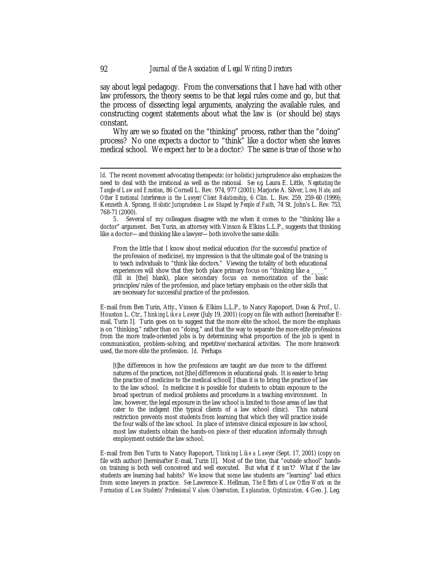say about legal pedagogy. From the conversations that I have had with other law professors, the theory seems to be that legal rules come and go, but that the process of dissecting legal arguments, analyzing the available rules, and constructing cogent statements about what the law is (or should be) stays constant.

Why are we so fixated on the "thinking" process, rather than the "doing" process? No one expects a doctor to "think" like a doctor when she leaves medical school. We expect her to *be* a doctor.<sup>5</sup> The same is true of those who

From the little that I know about medical education (for the successful practice of the profession of medicine), my impression is that the ultimate goal of the training is to teach individuals to "think like doctors." Viewing the totality of both educational experiences will show that they both place primary focus on "thinking like a (fill in [the] blank), place secondary focus on memorization of the basic principles/rules of the profession, and place tertiary emphasis on the other skills that are necessary for successful practice of the profession.

E-mail from Ben Turin, Atty., Vinson & Elkins L.L.P., to Nancy Rapoport, Dean & Prof., U. Houston L. Ctr., *Thinking Like a Lawyer* (July 19, 2001) (copy on file with author) [hereinafter Email, Turin I]. Turin goes on to suggest that the more elite the school, the more the emphasis is on "thinking," rather than on "doing," and that the way to separate the more elite professions from the more trade-oriented jobs is by determining what proportion of the job is spent in communication, problem-solving, and repetitive/mechanical activities. The more brainwork used, the more elite the profession. *Id*. Perhaps

[t]he differences in how the professions are taught are due more to the different natures of the practices, not [the] differences in educational goals. It is easier to bring the practice of medicine to the medical school[ ] than it is to bring the practice of law to the law school. In medicine it is possible for students to obtain exposure to the broad spectrum of medical problems and procedures in a teaching environment. In law, however, the legal exposure in the law school is limited to those areas of law that cater to the indigent (the typical clients of a law school clinic). This natural restriction prevents most students from learning that which they will practice inside the four walls of the law school. In place of intensive clinical exposure in law school, most law students obtain the hands-on piece of their education informally through employment outside the law school.

E-mail from Ben Turin to Nancy Rapoport, *Thinking Like a Lawyer* (Sept. 17, 2001) (copy on file with author) [hereinafter E-mail, Turin II]. Most of the time, that "outside school" handson training is both well conceived and well executed. But what if it isn't? What if the law students are learning bad habits? We know that some law students are "learning" bad ethics from some lawyers in practice. *See* Lawrence K. Hellman, *The Effects of Law Office Work on the Formation of Law Students' Professional Values: Observation, Explanation, Optimization,* 4 Geo. J. Leg.

*Id.* The recent movement advocating therapeutic (or holistic) jurisprudence also emphasizes the need to deal with the irrational as well as the rational. *See e.g.* Laura E. Little, *Negotiating the Tangle of Law and Emotion*, 86 Cornell L. Rev. 974, 977 (2001); Marjorie A. Silver, *Love, Hate, and Other Emotional Interference in the Lawyer/Client Relationship*, 6 Clin. L. Rev. 259, 259-60 (1999); Kenneth A. Sprang, *Holistic Jurisprudence: Law Shaped by People of Faith*, 74 St. John's L. Rev. 753, 768-71 (2000).

<sup>5.</sup> Several of my colleagues disagree with me when it comes to the "thinking like a doctor" argument. Ben Turin, an attorney with Vinson & Elkins L.L.P., suggests that thinking like a doctor—and thinking like a lawyer—both involve the same skills: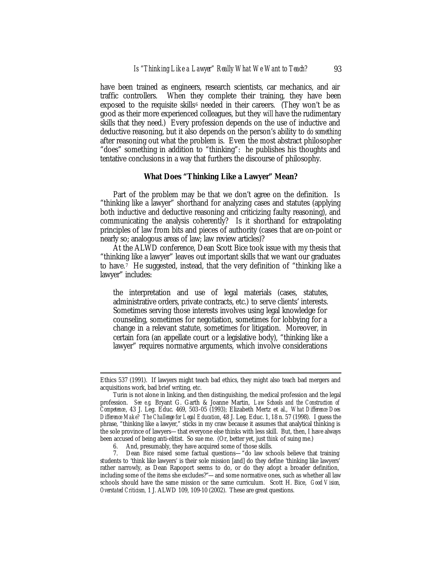have been trained as engineers, research scientists, car mechanics, and air traffic controllers. When they complete their training, they have been exposed to the requisite skills<sup> $6$ </sup> needed in their careers. (They won't be as good as their more experienced colleagues, but they *will* have the rudimentary skills that they need.) Every profession depends on the use of inductive and deductive reasoning, but it also depends on the person's ability to *do something* after reasoning out what the problem is. Even the most abstract philosopher "does" something in addition to "thinking": he publishes his thoughts and tentative conclusions in a way that furthers the discourse of philosophy.

#### *What Does "Thinking Like a Lawyer" Mean?*

Part of the problem may be that we don't agree on the definition. Is "thinking like a lawyer" shorthand for analyzing cases and statutes (applying both inductive and deductive reasoning and criticizing faulty reasoning), and communicating the analysis coherently? Is it shorthand for extrapolating principles of law from bits and pieces of authority (cases that are on-point or nearly so; analogous areas of law; law review articles)?

At the ALWD conference, Dean Scott Bice took issue with my thesis that "thinking like a lawyer" leaves out important skills that we want our graduates to have.7 He suggested, instead, that the very definition of "thinking like a lawyer" includes:

the interpretation and use of legal materials (cases, statutes, administrative orders, private contracts, etc.) to serve clients' interests. Sometimes serving those interests involves using legal knowledge for counseling, sometimes for negotiation, sometimes for lobbying for a change in a relevant statute, sometimes for litigation. Moreover, in certain fora (an appellate court or a legislative body), "thinking like a lawyer" requires normative arguments, which involve considerations

Ethics 537 (1991). If lawyers might teach bad ethics, they might also teach bad mergers and acquisitions work, bad brief writing, etc.

Turin is not alone in linking, and then distinguishing, the medical profession and the legal profession. *See e.g.* Bryant G. Garth & Joanne Martin, *Law Schools and the Construction of Competence*, 43 J. Leg. Educ. 469, 503-05 (1993); Elizabeth Mertz et al., *What Difference Does Difference Make? The Challenge for Legal Education*, 48 J. Leg. Educ. 1, 18 n. 57 (1998). I guess the phrase, "thinking like a lawyer," sticks in my craw because it assumes that analytical thinking is the sole province of lawyers—that everyone else thinks with less skill. But, then, I have always been accused of being anti-elitist. So sue me. (Or, better yet, just *think* of suing me.)

<sup>6.</sup> And, presumably, they have acquired some of those skills.

<sup>7.</sup> Dean Bice raised some factual questions—"do law schools believe that training students to 'think like lawyers' is their sole mission [and] do they define 'thinking like lawyers' rather narrowly, as Dean Rapoport seems to do, or do they adopt a broader definition, including some of the items she excludes?"—and some normative ones, such as whether all law schools should have the same mission or the same curriculum. Scott H. Bice, *Good Vision, Overstated Criticism,* 1 J. ALWD 109, 109-10 (2002). These are great questions.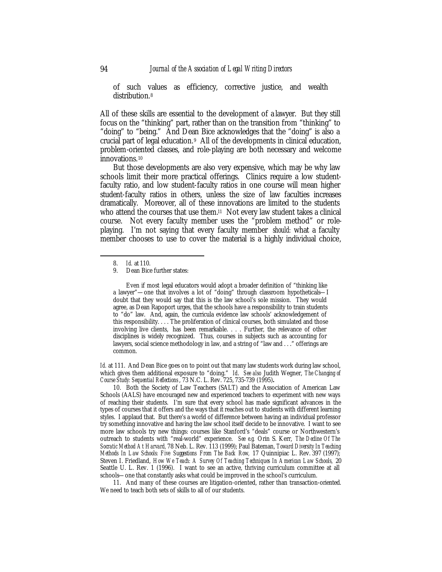of such values as efficiency, corrective justice, and wealth distribution.<sup>8</sup>

All of these skills are essential to the development of a lawyer. But they still focus on the "thinking" part, rather than on the transition from "thinking" to "doing" to "being." And Dean Bice acknowledges that the "doing" is also a crucial part of legal education. $9$  All of the developments in clinical education, problem-oriented classes, and role-playing are both necessary and welcome innovations.<sup>10</sup>

But those developments are also very expensive, which may be why law schools limit their more practical offerings. Clinics require a low studentfaculty ratio, and low student-faculty ratios in one course will mean higher student-faculty ratios in others, unless the size of law faculties increases dramatically. Moreover, all of these innovations are limited to the students who attend the courses that use them.<sup>11</sup> Not every law student takes a clinical course. Not every faculty member uses the "problem method" or roleplaying. I'm not saying that every faculty member *should:* what a faculty member chooses to use to cover the material is a highly individual choice,

 $\overline{a}$ 

Even if most legal educators would adopt a broader definition of "thinking like a lawyer"—one that involves a lot of "doing" through classroom hypotheticals—I doubt that they would say that this is the law school's sole mission. They would agree, as Dean Rapoport urges, that the schools have a responsibility to train students to "do" law. And, again, the curricula evidence law schools' acknowledgement of this responsibility. . . . The proliferation of clinical courses, both simulated and those involving live clients, has been remarkable. . . . Further, the relevance of other disciplines is widely recognized. Thus, courses in subjects such as accounting for lawyers, social science methodology in law, and a string of "law and . . ." offerings are common.

*Id.* at 111. And Dean Bice goes on to point out that many law students work during law school, which gives them additional exposure to "doing." *Id*. *See also* Judith Wegner, *The Changing of Course Study: Sequential Reflections* , 73 N.C. L. Rev. 725, 735-739 (1995)*.*

11. And many of these courses are litigation-oriented, rather than transaction-oriented. We need to teach both sets of skills to all of our students.

<sup>8.</sup> *Id.* at 110.

<sup>9.</sup> Dean Bice further states:

<sup>10.</sup> Both the Society of Law Teachers (SALT) and the Association of American Law Schools (AALS) have encouraged new and experienced teachers to experiment with new ways of reaching their students. I'm sure that every school has made significant advances in the types of courses that it offers and the ways that it reaches out to students with different learning styles. I applaud that. But there's a world of difference between having an individual professor try something innovative and having the law school itself decide to be innovative. I want to see more law schools try new things: courses like Stanford's "deals" course or Northwestern's outreach to students with "real-world" experience. *See e.g.* Orin S. Kerr, *The Decline Of The Socratic Method At Harvard,* 78 Neb. L. Rev. 113 (1999); Paul Bateman, *Toward Diversity In Teaching Methods In Law Schools: Five Suggestions From The Back Row,* 17 Quinnipiac L. Rev. 397 (1997); Steven I. Friedland, *How We Teach: A Survey Of Teaching Techniques In American Law Schools,* 20 Seattle U. L. Rev. 1 (1996). I want to see an active, thriving curriculum committee at all schools—one that constantly asks what could be improved in the school's curriculum.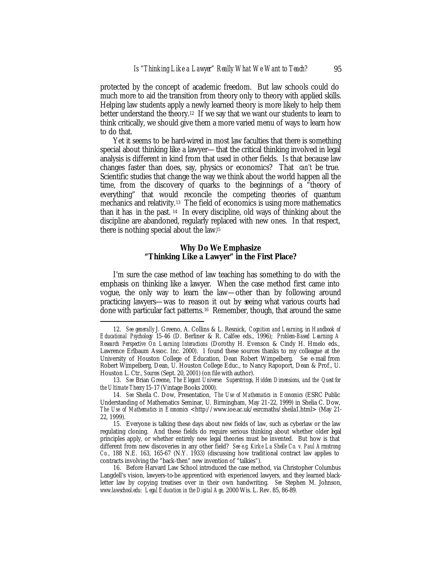protected by the concept of academic freedom. But law schools could do much more to aid the transition from theory only to theory with applied skills. Helping law students apply a newly learned theory is more likely to help them better understand the theory.<sup>12</sup> If we say that we want our students to learn to think critically, we should give them a more varied menu of ways to learn how to do that.

Yet it seems to be hard-wired in most law faculties that there is something special about thinking like a lawyer—that the critical thinking involved in legal analysis is different in kind from that used in other fields. Is that because law changes faster than does, say, physics or economics? That *can't* be true. Scientific studies that change the way we think about the world happen all the time, from the discovery of quarks to the beginnings of a "theory of everything" that would reconcile the competing theories of quantum mechanics and relativity.13 The field of economics is using more mathematics than it has in the past. <sup>14</sup> In every discipline, old ways of thinking about the discipline are abandoned, regularly replaced with new ones. In that respect, there is nothing special about the law.<sup>15</sup>

#### *Why Do We Emphasize "Thinking Like a Lawyer" in the First Place?*

I'm sure the case method of law teaching has something to do with the emphasis on thinking like a lawyer. When the case method first came into vogue, the only way to learn the law—other than by following around practicing lawyers—was to reason it out by seeing what various courts had done with particular fact patterns.16 Remember, though, that around the same

<sup>12.</sup> *See generally* J. Greeno, A. Collins & L. Resnick, *Cognition and Learning,* in *Handbook of Educational Psychology* 15-46 (D. Berliner & R. Calfee eds., 1996); *Problem-Based Learning: A Research Perspective On Learning Interactions* (Dorothy H. Evenson & Cindy H. Hmelo eds., Lawrence Erlbaum Assoc. Inc. 2000). I found these sources thanks to my colleague at the University of Houston College of Education, Dean Robert Wimpelberg. *See* e-mail from Robert Wimpelberg, Dean, U. Houston College Educ., to Nancy Rapoport, Dean & Prof., U. Houston L. Ctr., *Sources* (Sept. 20, 2001) (on file with author).

<sup>13.</sup> *See* Brian Greene, *The Elegant Universe: Superstrings, Hidden Dimensions, and the Quest for the Ultimate Theory* 15-17 (Vintage Books 2000).

<sup>14.</sup> *See* Sheila C. Dow, Presentation, *The Use of Mathematics in Economics* (ESRC Public Understanding of Mathematics Seminar, U. Birmingham, May 21-22, 1999) in Shelia C. Dow, *The Use of Mathematics in Economics* <http://www.ioe.ac.uk/esrcmaths/sheila1.html> (May 21-22, 1999).

<sup>15.</sup> Everyone is talking these days about new fields of law, such as cyberlaw or the law regulating cloning. And these fields do require serious thinking about whether older legal principles apply, or whether entirely new legal theories must be invented. But how is that different from new discoveries in any other field? *See e.g. Kirke La Shelle Co. v. Paul Armstrong Co.*, 188 N.E. 163, 165-67 (N.Y. 1933) (discussing how traditional contract law applies to contracts involving the "back-then" new invention of "talkies").

<sup>16.</sup> Before Harvard Law School introduced the case method, via Christopher Columbus Langdell's vision, lawyers-to-be apprenticed with experienced lawyers, and they learned blackletter law by copying treatises over in their own handwriting. *See* Stephen M. Johnson, *www.lawschool.edu: Legal Education in the Digital Age,* 2000 Wis. L. Rev. 85, 86-89.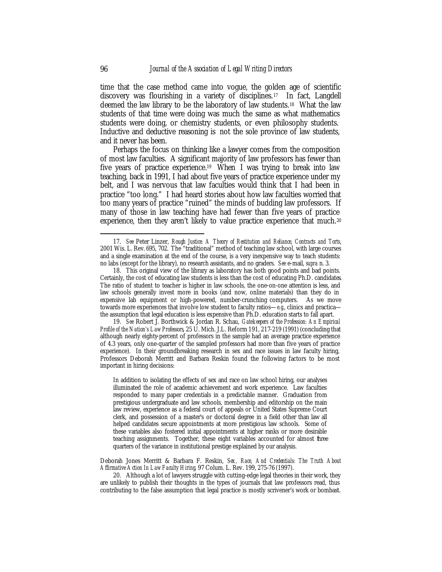time that the case method came into vogue, the golden age of scientific discovery was flourishing in a variety of disciplines.17 In fact, Langdell deemed the law library to be the laboratory of law students.18 What the law students of that time were doing was much the same as what mathematics students were doing, or chemistry students, or even philosophy students. Inductive and deductive reasoning is not the sole province of law students, and it never has been.

Perhaps the focus on thinking like a lawyer comes from the composition of most law faculties. A significant majority of law professors has fewer than five years of practice experience.19 When I was trying to break into law teaching, back in 1991, I had about five years of practice experience under my belt, and I was nervous that law faculties would think that I had been in practice "too long." I had heard stories about how law faculties worried that too many years of practice "ruined" the minds of budding law professors. If many of those in law teaching have had fewer than five years of practice experience, then they aren't likely to value practice experience that much.<sup>20</sup>

19. *See* Robert J. Borthwick & Jordan R. Schau, *Gatekeepers of the Profession: An Empirical Profile of the Nation's Law Professors*, 25 U. Mich. J.L. Reform 191, 217-219 (1991) (concluding that although nearly eighty-percent of professors in the sample had an average practice experience of 4.3 years, only one-quarter of the sampled professors had more than five years of practice experience). In their groundbreaking research in sex and race issues in law faculty hiring, Professors Deborah Merritt and Barbara Reskin found the following factors to be most important in hiring decisions:

In addition to isolating the effects of sex and race on law school hiring, our analyses illuminated the role of academic achievement and work experience. Law faculties responded to many paper credentials in a predictable manner. Graduation from prestigious undergraduate and law schools, membership and editorship on the main law review, experience as a federal court of appeals or United States Supreme Court clerk, and possession of a master's or doctoral degree in a field other than law all helped candidates secure appointments at more prestigious law schools. Some of these variables also fostered initial appointments at higher ranks or more desirable teaching assignments. Together, these eight variables accounted for almost three quarters of the variance in institutional prestige explained by our analysis.

Deborah Jones Merritt & Barbara F. Reskin, *Sex, Race, And Credentials: The Truth About Affirmative Action In Law Faculty Hiring,* 97 Colum. L. Rev. 199, 275-76 (1997).

20. Although a lot of lawyers struggle with cutting-edge legal theories in their work, they are unlikely to publish their thoughts in the types of journals that law professors read, thus contributing to the false assumption that legal practice is mostly scrivener's work or bombast.

<sup>17.</sup> *See* Peter Linzer, *Rough Justice: A Theory of Restitution and Reliance, Contracts and Torts*, 2001 Wis. L. Rev. 695, 702. The "traditional" method of teaching law school, with large courses and a single examination at the end of the course, is a very inexpensive way to teach students: no labs (except for the library), no research assistants, and no graders. *See* e-mail, *supra* n. 3.

<sup>18.</sup> This original view of the library as laboratory has both good points and bad points. Certainly, the cost of educating law students is less than the cost of educating Ph.D. candidates. The ratio of student to teacher is higher in law schools, the one-on-one attention is less, and law schools generally invest more in books (and now, online materials) than they do in expensive lab equipment or high-powered, number-crunching computers. As we move towards more experiences that involve low student to faculty ratios—*e.g*., clinics and practica the assumption that legal education is less expensive than Ph.D. education starts to fall apart.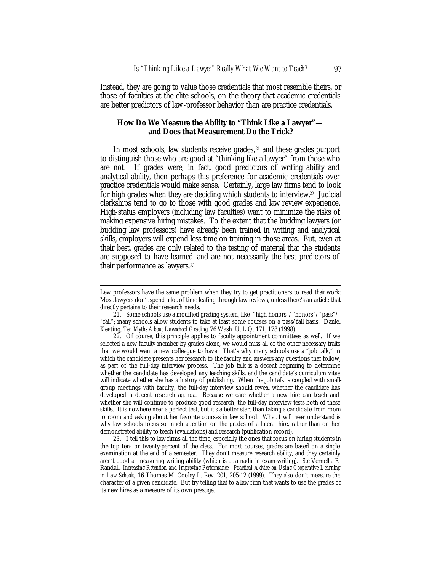Instead, they are going to value those credentials that most resemble theirs, or those of faculties at the elite schools, on the theory that academic credentials are better predictors of law-professor behavior than are practice credentials.

## *How Do We Measure the Ability to "Think Like a Lawyer" and Does that Measurement Do the Trick?*

In most schools, law students receive grades, <sup>21</sup> and these grades purport to distinguish those who are good at "thinking like a lawyer" from those who are not. If grades were, in fact, good predictors of writing ability and analytical ability, then perhaps this preference for academic credentials over practice credentials would make sense. Certainly, large law firms tend to look for high grades when they are deciding which students to interview.22 Judicial clerkships tend to go to those with good grades and law review experience. High-status employers (including law faculties) want to minimize the risks of making expensive hiring mistakes. To the extent that the budding lawyers (or budding law professors) have already been trained in writing and analytical skills, employers will expend less time on training in those areas. But, even at their best, grades are only related to the testing of material that the students are supposed to have learned and are not necessarily the best predictors of their performance as lawyers.<sup>23</sup>

Law professors have the same problem when they try to get practitioners to read *their* work: Most lawyers don't spend a lot of time leafing through law reviews, unless there's an article that directly pertains to their research needs.

<sup>21.</sup> Some schools use a modified grading system, like "high honors"/"honors"/"pass"/ "fail"; many schools allow students to take at least some courses on a pass/fail basis. Daniel Keating, *Ten Myths About Lawschool Grading*, 76 Wash. U. L.Q. 171, 178 (1998).

<sup>22.</sup> Of course, this principle applies to faculty appointment committees as well. If we selected a new faculty member by grades alone, we would miss all of the other necessary traits that we would want a new colleague to have. That's why many schools use a "job talk," in which the candidate presents her research to the faculty and answers any questions that follow, as part of the full-day interview process. The job talk is a decent beginning to determine whether the candidate has developed any teaching skills, and the candidate's curriculum vitae will indicate whether she has a history of publishing. When the job talk is coupled with smallgroup meetings with faculty, the full-day interview should reveal whether the candidate has developed a decent research agenda. Because we care whether a new hire can teach and whether she will continue to produce good research, the full-day interview tests both of these skills. It is nowhere near a perfect test, but it's a better start than taking a candidate from room to room and asking about her favorite courses in law school. What I will *never* understand is why law schools focus so much attention on the grades of a lateral hire, rather than on her demonstrated ability to teach (evaluations) and research (publication record).

<sup>23.</sup> I tell this to law firms all the time, especially the ones that focus on hiring students in the top ten- or twenty-percent of the class. For most courses, grades are based on a single examination at the end of a semester. They don't measure research ability, and they certainly aren't good at measuring writing ability (which is at a nadir in exam-writing). *See* Vernellia R. Randall*, Increasing Retention and Improving Performance: Practical Advice on Using Cooperative Learning in Law Schools,* 16 Thomas M. Cooley L. Rev. 201, 205-12 (1999). They also don't measure the character of a given candidate. But try telling that to a law firm that wants to use the grades of its new hires as a measure of its own prestige.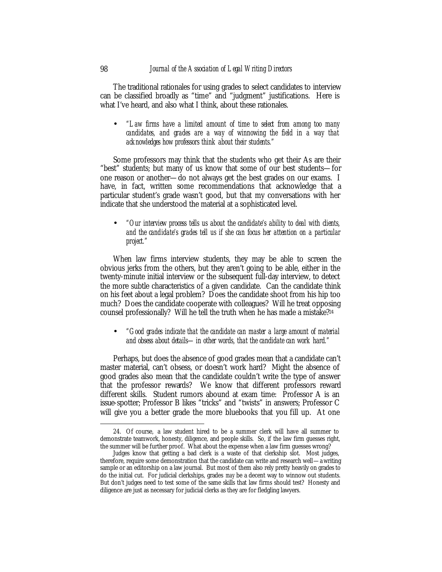The traditional rationales for using grades to select candidates to interview can be classified broadly as "time" and "judgment" justifications. Here is what I've heard, and also what I think, about these rationales.

• *"Law firms have a limited amount of time to select from among too many candidates, and grades are a way of winnowing the field in a way that acknowledges how professors think about their students."*

Some professors may think that the students who get their As are their "best" students; but many of us know that some of our best students—for one reason or another—do not always get the best grades on our exams. I have, in fact, written some recommendations that acknowledge that a particular student's grade wasn't good, but that my conversations with her indicate that she understood the material at a sophisticated level.

• *"Our interview process tells us about the candidate's ability to deal with clients,*  and the candidate's grades tell us if she can focus her attention on a particular *project."*

When law firms interview students, they may be able to screen the obvious jerks from the others, but they aren't going to be able, either in the twenty-minute initial interview or the subsequent full-day interview, to detect the more subtle characteristics of a given candidate. Can the candidate think on his feet about a legal problem? Does the candidate shoot from his hip too much? Does the candidate cooperate with colleagues? Will he treat opposing counsel professionally? Will he tell the truth when he has made a mistake?<sup>24</sup>

• *"Good grades indicate that the candidate can master a large amount of material and obsess about details—in other words, that the candidate can work hard."*

Perhaps, but does the absence of good grades mean that a candidate can't master material, can't obsess, or doesn't work hard? Might the absence of good grades also mean that the candidate couldn't write the type of answer that the professor rewards? We know that different professors reward different skills. Student rumors abound at exam time: Professor A is an issue-spotter; Professor B likes "tricks" and "twists" in answers; Professor C will give you a better grade the more bluebooks that you fill up. At one

<sup>24.</sup> Of course, a law student hired to be a summer clerk will have all summer to demonstrate teamwork, honesty, diligence, and people skills. So, if the law firm guesses right, the summer will be further proof. What about the expense when a law firm guesses wrong?

Judges know that getting a bad clerk is a waste of that clerkship slot. Most judges, therefore, require some demonstration that the candidate can write and research well—a writing sample or an editorship on a law journal. But most of them also rely pretty heavily on grades to do the initial cut. For judicial clerkships, grades *may* be a decent way to winnow out students. But don't judges need to test some of the same skills that law firms should test? Honesty and diligence are just as necessary for judicial clerks as they are for fledgling lawyers.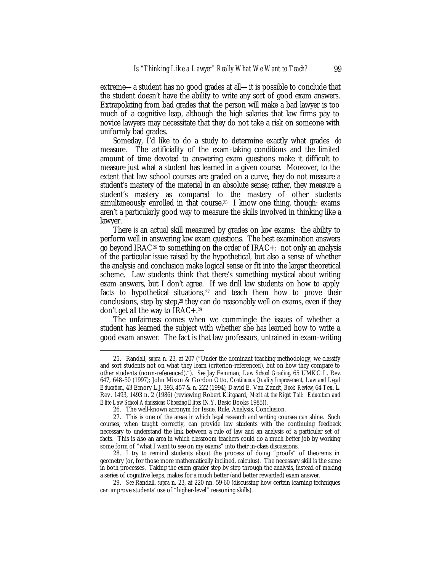extreme—a student has no good grades at all—it is possible to conclude that the student doesn't have the ability to write any sort of good exam answers. Extrapolating from bad grades that the person will make a bad lawyer is too much of a cognitive leap, although the high salaries that law firms pay to novice lawyers may necessitate that they do not take a risk on someone with uniformly bad grades.

Someday, I'd like to do a study to determine exactly what grades *do* measure. The artificiality of the exam-taking conditions and the limited amount of time devoted to answering exam questions make it difficult to measure just what a student has learned in a given course. Moreover, to the extent that law school courses are graded on a curve, they do not measure a student's mastery of the material in an absolute sense; rather, they measure a student's mastery as compared to the mastery of other students simultaneously enrolled in that course.25 I know one thing, though: exams aren't a particularly good way to measure the skills involved in thinking like a lawyer.

There *is* an actual skill measured by grades on law exams: the ability to perform well in answering law exam questions. The best examination answers go beyond IRAC<sup>26</sup> to something on the order of IRAC+: not only an analysis of the particular issue raised by the hypothetical, but also a sense of whether the analysis and conclusion make logical sense or fit into the larger theoretical scheme. Law students think that there's something mystical about writing exam answers, but I don't agree. If we drill law students on how to apply facts to hypothetical situations, $27$  and teach them how to prove their conclusions, step by step,28 they can do reasonably well on exams, even if they don't get all the way to IRAC+.<sup>29</sup>

The unfairness comes when we commingle the issues of whether a student has learned the subject with whether she has learned how to write a good exam answer. The fact is that law professors, untrained in exam-writing

<sup>25.</sup> Randall, *supra* n. 23, at 207 ("Under the dominant teaching methodology, we classify and sort students not on what they learn (criterion-referenced), but on how they compare to other students (norm-referenced)."). *See* Jay Feinman, *Law School Grading*, 65 UMKC L. Rev. 647, 648-50 (1997); John Mixon & Gordon Otto, *Continuous Quality Improvement, Law and Legal Education*, 43 Emory L.J. 393, 457 & n. 222 (1994); David E. Van Zandt, *Book Review*, 64 Tex. L. Rev. 1493, 1493 n. 2 (1986) (reviewing Robert Klitgaard, *Merit at the Right Tail: Education and Elite Law School Admissions Choosing Elites* (N.Y. Basic Books 1985)).

<sup>26.</sup> The well-known acronym for Issue, Rule, Analysis, Conclusion.

<sup>27.</sup> This is one of the areas in which legal research and writing courses can shine. Such courses, when taught correctly, can provide law students with the continuing feedback necessary to understand the link between a rule of law and an analysis of a particular set of facts. This is also an area in which classroom teachers could do a much better job by working some form of "what I want to see on my exams" into their in-class discussions.

<sup>28.</sup> I try to remind students about the process of doing "proofs" of theorems in geometry (or, for those more mathematically inclined, calculus). The necessary skill is the same in both processes. Taking the exam grader step by step through the analysis, instead of making a series of cognitive leaps, makes for a much better (and better rewarded) exam answer.

<sup>29.</sup> *See* Randall, *supra* n. 23, at 220 nn. 59-60 (discussing how certain learning techniques can improve students' use of "higher-level" reasoning skills).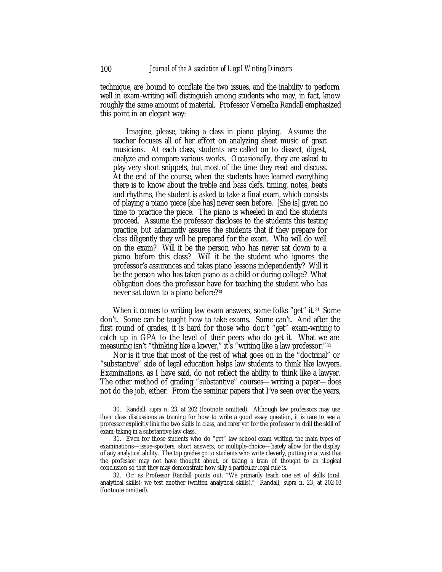technique, are bound to conflate the two issues, and the inability to perform well in exam-writing will distinguish among students who may, in fact, know roughly the same amount of material. Professor Vernellia Randall emphasized this point in an elegant way:

Imagine, please, taking a class in piano playing. Assume the teacher focuses all of her effort on analyzing sheet music of great musicians. At each class, students are called on to dissect, digest, analyze and compare various works. Occasionally, they are asked to play very short snippets, but most of the time they read and discuss. At the end of the course, when the students have learned everything there is to know about the treble and bass clefs, timing, notes, beats and rhythms, the student is asked to take a final exam, which consists of playing a piano piece [she has] never seen before. [She is] given no time to practice the piece. The piano is wheeled in and the students proceed. Assume the professor discloses to the students this testing practice, but adamantly assures the students that if they prepare for class diligently they will be prepared for the exam. Who will do well on the exam? Will it be the person who has never sat down to a piano before this class? Will it be the student who ignores the professor's assurances and takes piano lessons independently? Will it be the person who has taken piano as a child or during college? What obligation does the professor have for teaching the student who has never sat down to a piano before?<sup>30</sup>

When it comes to writing law exam answers, some folks "get" it.<sup>31</sup> Some don't. Some can be taught how to take exams. Some can't. And after the first round of grades, it is hard for those who don't "get" exam-writing to catch up in GPA to the level of their peers who do get it. What we are measuring isn't "thinking like a lawyer," it's "writing like a law professor."<sup>32</sup>

Nor is it true that most of the rest of what goes on in the "doctrinal" or "substantive" side of legal education helps law students to think like lawyers. Examinations, as I have said, do not reflect the ability to think like a lawyer. The other method of grading "substantive" courses—writing a paper—does not do the job, either. From the seminar papers that I've seen over the years,

<sup>30.</sup> Randall, *supra* n. 23, at 202 (footnote omitted). Although law professors may use their class discussions as training for how to write a good essay question, it is rare to see a professor explicitly link the two skills in class, and rarer yet for the professor to drill the skill of exam-taking in a substantive law class.

<sup>31.</sup> Even for those students who do "get" law school exam-writing, the main types of examinations—issue-spotters, short answers, or multiple-choice—barely allow for the display of any analytical ability. The top grades go to students who write cleverly, putting in a twist that the professor may not have thought about, or taking a train of thought to an illogical conclusion so that they may demonstrate how silly a particular legal rule is.

<sup>32.</sup> Or, as Professor Randall points out, "We primarily teach one set of skills (oral analytical skills); we test another (written analytical skills)." Randall, *supra* n. 23, at 202-03 (footnote omitted).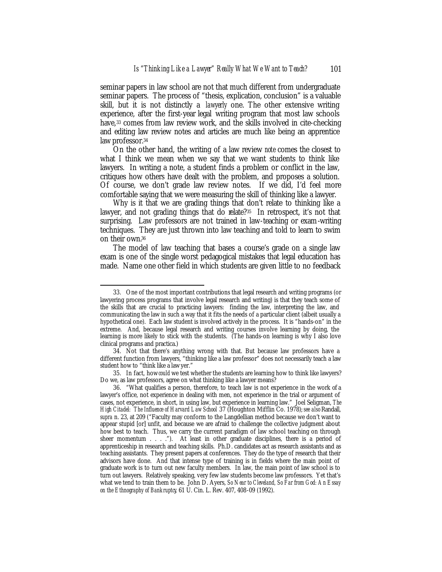seminar papers in law school are not that much different from undergraduate seminar papers. The process of "thesis, explication, conclusion" is a valuable skill, but it is not distinctly a *lawyerly* one. The other extensive writing experience, after the first-year legal writing program that most law schools have,<sup>33</sup> comes from law review work, and the skills involved in cite-checking and editing law review notes and articles are much like being an apprentice law professor.<sup>34</sup>

On the other hand, the writing of a law review *note* comes the closest to what I think we mean when we say that we want students to think like lawyers. In writing a note, a student finds a problem or conflict in the law, critiques how others have dealt with the problem, and proposes a solution. Of course, we don't grade law review notes. If we did, I'd feel more comfortable saying that we were measuring the skill of thinking like a lawyer.

Why is it that we are grading things that don't relate to thinking like a lawyer, and not grading things that do relate?<sup>35</sup> In retrospect, it's not that surprising. Law professors are not trained in law-teaching or exam-writing techniques. They are just thrown into law teaching and told to learn to swim on their own.<sup>36</sup>

The model of law teaching that bases a course's grade on a single law exam is one of the single worst pedagogical mistakes that legal education has made. Name one other field in which students are given little to no feedback

<sup>33.</sup> One of the most important contributions that legal research and writing programs (or lawyering process programs that involve legal research and writing) is that they teach some of the skills that are crucial to practicing lawyers: finding the law, interpreting the law, and communicating the law in such a way that it fits the needs of a particular client (albeit usually a hypothetical one). Each law student is involved actively in the process. It is "hands-on" in the extreme. And, because legal research and writing courses involve learning by doing, the learning is more likely to stick with the students. (The hands-on learning is why I also love clinical programs and practica.)

<sup>34.</sup> Not that there's anything wrong with that. But because law professors have a different function from lawyers, "thinking like a law professor" does not necessarily teach a law student how to "think like a lawyer."

<sup>35.</sup> In fact, how *could* we test whether the students are learning how to think like lawyers? Do we, as law professors, agree on what thinking like a lawyer means?

<sup>36. &</sup>quot;What qualifies a person, therefore, to teach law is not experience in the work of a lawyer's office, not experience in dealing with men, not experience in the trial or argument of cases, not experience, in short, in using law, but experience in learning law." Joel Seligman, *The High Citadel: The Influence of Harvard Law School* 37 (Houghton Mifflin Co. 1978); *see also* Randall, *supra* n. 23, at 209 ("Faculty may conform to the Langdellian method because we don't want to appear stupid [or] unfit, and because we are afraid to challenge the collective judgment about how best to teach. Thus, we carry the current paradigm of law school teaching on through sheer momentum . . . ."). At least in other graduate disciplines, there is a period of apprenticeship in research and teaching skills. Ph.D. candidates act as research assistants and as teaching assistants. They present papers at conferences. They do the type of research that their advisors have done. And that intense type of training is in fields where the main point of graduate work is to turn out new faculty members. In law, the main point of law school is to turn out lawyers. Relatively speaking, very few law students become law professors. Yet that's what we tend to train them to be. John D. Ayers, *So Near to Cleveland, So Far from God: An Essay on the Ethnography of Bankruptcy*, 61 U. Cin. L. Rev. 407, 408-09 (1992).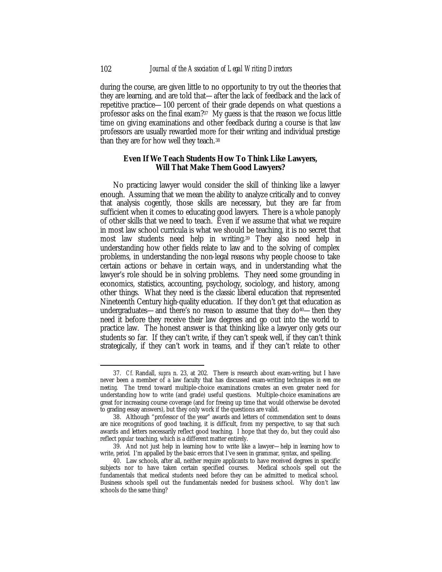during the course, are given little to no opportunity to try out the theories that they are learning, and are told that—after the lack of feedback and the lack of repetitive practice—100 percent of their grade depends on what questions a professor asks on the final exam?37 My guess is that the reason we focus little time on giving examinations and other feedback during a course is that law professors are usually rewarded more for their writing and individual prestige than they are for how well they teach.<sup>38</sup>

## *Even If We Teach Students How To Think Like Lawyers, Will That Make Them Good Lawyers?*

No practicing lawyer would consider the skill of thinking like a lawyer enough. Assuming that we mean the ability to analyze critically and to convey that analysis cogently, those skills are necessary, but they are far from sufficient when it comes to educating good lawyers. There is a whole panoply of other skills that we need to teach. Even if we assume that what we require in most law school curricula is what we should be teaching, it is no secret that most law students need help in writing.39 They also need help in understanding how other fields relate to law and to the solving of complex problems, in understanding the non-legal reasons why people choose to take certain actions or behave in certain ways, and in understanding what the lawyer's role should be in solving problems. They need some grounding in economics, statistics, accounting, psychology, sociology, and history, among other things. What they need is the classic liberal education that represented Nineteenth Century high-quality education. If they don't get that education as undergraduates—and there's no reason to assume that they do<sup>40</sup>—then they need it before they receive their law degrees and go out into the world to practice law. The honest answer is that thinking like a lawyer only gets our students so far. If they can't write, if they can't speak well, if they can't think strategically, if they can't work in teams, and if they can't relate to other

<sup>37.</sup> *Cf.* Randall, *supra* n. 23, at 202. There is research about exam-writing, but I have never been a member of a law faculty that has discussed exam-writing techniques *in even one meeting*. The trend toward multiple-choice examinations creates an even greater need for understanding how to write (and grade) useful questions. Multiple-choice examinations are great for increasing course coverage (and for freeing up time that would otherwise be devoted to grading essay answers), but they only work if the questions are valid.

<sup>38.</sup> Although "professor of the year" awards and letters of commendation sent to deans are nice recognitions of good teaching, it is difficult, from my perspective, to say that such awards and letters necessarily reflect good teaching. I hope that they do, but they could also reflect *popular* teaching, which is a different matter entirely.

<sup>39.</sup> And not just help in learning how to write like a lawyer—help in learning how to write, *period*. I'm appalled by the basic errors that I've seen in grammar, syntax, and spelling.

<sup>40.</sup> Law schools, after all, neither require applicants to have received degrees in specific subjects nor to have taken certain specified courses. Medical schools spell out the fundamentals that medical students need before they can be admitted to medical school. Business schools spell out the fundamentals needed for business school. Why don't law schools do the same thing?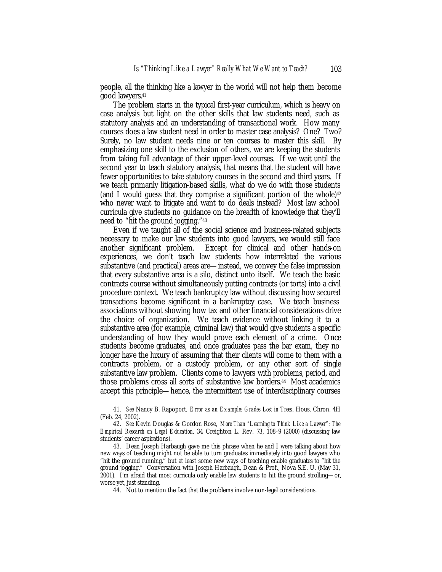people, all the thinking like a lawyer in the world will not help them become good lawyers.<sup>41</sup>

The problem starts in the typical first-year curriculum, which is heavy on case analysis but light on the other skills that law students need, such as statutory analysis and an understanding of transactional work. How many courses does a law student need in order to master case analysis? One? Two? Surely, no law student needs nine or ten courses to master this skill. By emphasizing one skill to the exclusion of others, we are keeping the students from taking full advantage of their upper-level courses. If we wait until the second year to teach statutory analysis, that means that the student will have fewer opportunities to take statutory courses in the second and third years. If we teach primarily litigation-based skills, what do we do with those students (and I would guess that they comprise a significant portion of the whole) $42$ who never want to litigate and want to do deals instead? Most law school curricula give students no guidance on the breadth of knowledge that they'll need to "hit the ground jogging."<sup>43</sup>

Even if we taught all of the social science and business-related subjects necessary to make our law students into good lawyers, we would still face another significant problem. Except for clinical and other hands-on experiences, we don't teach law students how interrelated the various substantive (and practical) areas are—instead, we convey the false impression that every substantive area is a silo, distinct unto itself. We teach the basic contracts course without simultaneously putting contracts (or torts) into a civil procedure context. We teach bankruptcy law without discussing how secured transactions become significant in a bankruptcy case. We teach business associations without showing how tax and other financial considerations drive the choice of organization. We teach evidence without linking it to a substantive area (for example, criminal law) that would give students a specific understanding of how they would prove each element of a crime. Once students become graduates, and once graduates pass the bar exam, they no longer have the luxury of assuming that their clients will come to them with a contracts problem, or a custody problem, or any other sort of single substantive law problem. Clients come to lawyers with problems, period, and those problems cross all sorts of substantive law borders.44 Most academics accept this principle—hence, the intermittent use of interdisciplinary courses

<sup>41.</sup> *See* Nancy B. Rapoport, *Error as an Example: Grades Lost in Trees*, Hous. Chron. 4H (Feb. 24, 2002).

<sup>42.</sup> *See* Kevin Douglas & Gordon Rose, *More Than "Learning to Think Like a Lawyer": The Empirical Research on Legal Education*, 34 Creighton L. Rev. 73, 108-9 (2000) (discussing law students' career aspirations).

<sup>43.</sup> Dean Joseph Harbaugh gave me this phrase when he and I were talking about how new ways of teaching might not be able to turn graduates immediately into good lawyers who "hit the ground running," but at least some new ways of teaching enable graduates to "hit the ground jogging." Conversation with Joseph Harbaugh, Dean & Prof., Nova S.E. U. (May 31, 2001). I'm afraid that most curricula only enable law students to hit the ground strolling—or, worse yet, just standing.

<sup>44.</sup> Not to mention the fact that the problems involve non-legal considerations.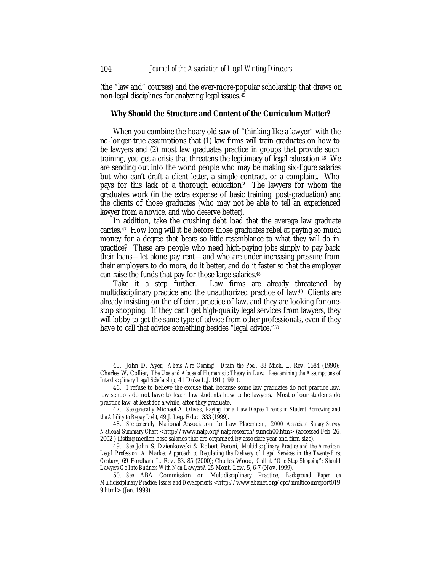(the "law and" courses) and the ever-more-popular scholarship that draws on non-legal disciplines for analyzing legal issues.<sup>45</sup>

#### *Why Should the Structure and Content of the Curriculum Matter?*

When you combine the hoary old saw of "thinking like a lawyer" with the no-longer-true assumptions that (1) law firms will train graduates on how to be lawyers and (2) most law graduates practice in groups that provide such training, you get a crisis that threatens the legitimacy of legal education.46 We are sending out into the world people who may be making six-figure salaries but who can't draft a client letter, a simple contract, or a complaint. Who pays for this lack of a thorough education? The lawyers for whom the graduates work (in the extra expense of basic training, post-graduation) and the clients of those graduates (who may not be able to tell an experienced lawyer from a novice, and who deserve better).

In addition, take the crushing debt load that the average law graduate carries.<sup>47</sup> How long will it be before those graduates rebel at paying so much money for a degree that bears so little resemblance to what they will do in practice? These are people who need high-paying jobs simply to pay back their loans—let alone pay rent—and who are under increasing pressure from their employers to do more, do it better, and do it faster so that the employer can raise the funds that pay for those large salaries.<sup>48</sup>

Take it a step further. Law firms are already threatened by multidisciplinary practice and the unauthorized practice of law.49 Clients are already insisting on the efficient practice of law, and they are looking for onestop shopping. If they can't get high-quality legal services from lawyers, they will lobby to get the same type of advice from other professionals, even if they have to call that advice something besides "legal advice."<sup>50</sup>

<sup>45.</sup> John D. Ayer, *Aliens Are Coming! Drain the Pool*, 88 Mich. L. Rev. 1584 (1990); Charles W. Collier, *The Use and Abuse of Humanistic Theory in Law: Reexamining the Assumptions of Interdisciplinary Legal Scholarship*, 41 Duke L.J. 191 (1991).

<sup>46.</sup> I refuse to believe the excuse that, because some law graduates do not practice law, law schools do not have to teach law students how to be lawyers. Most of our students do practice law, at least for a while, after they graduate.

<sup>47.</sup> *See generally* Michael A. Olivas, *Paying for a Law Degree: Trends in Student Borrowing and the Ability to Repay Debt*, 49 J. Leg. Educ. 333 (1999).

<sup>48.</sup> *See generally* National Association for Law Placement, *2000 Associate Salary Survey National Summary Chart* <http://www.nalp.org/nalpresearch/sumch00.htm> (accessed Feb. 26, 2002 ) (listing median base salaries that are organized by associate year and firm size).

<sup>49.</sup> *See* John S. Dzienkowski & Robert Peroni, *Multidisciplinary Practice and the American Legal Profession: A Market Approach to Regulating the Delivery of Legal Services in the Twenty-First Century*, 69 Fordham L. Rev. 83, 85 (2000); Charles Wood, *Call it "One-Stop Shopping": Should Lawyers Go Into Business With Non-Lawyers?*, 25 Mont. Law. 5, 6-7 (Nov. 1999).

<sup>50.</sup> *See* ABA Commission on Multidisciplinary Practice, *Background Paper on Multidisciplinary Practice: Issues and Developments* <http://www.abanet.org/cpr/multicomreport019 9.html> (Jan. 1999).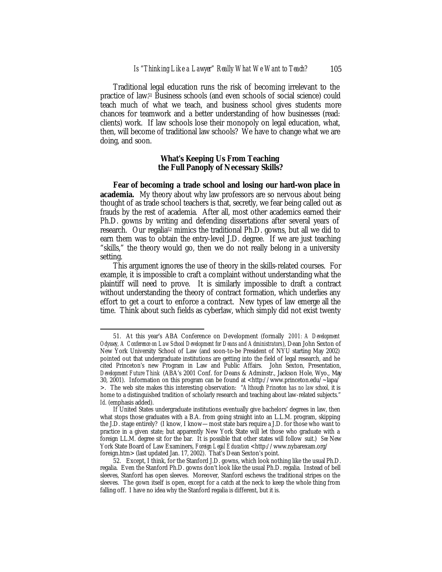Traditional legal education runs the risk of becoming irrelevant to the practice of law.51 Business schools (and even schools of social science) could teach much of what we teach, and business school gives students more chances for teamwork and a better understanding of how businesses (read: clients) work. If law schools lose their monopoly on legal education, what, then, will become of traditional law schools? We have to change what we are doing, and soon.

#### *What's Keeping Us From Teaching the Full Panoply of Necessary Skills?*

**Fear of becoming a trade school and losing our hard-won place in academia.** My theory about why law professors are so nervous about being thought of as trade school teachers is that, secretly, we fear being called out as frauds by the rest of academia. After all, most other academics earned their Ph.D. gowns by writing and defending dissertations after several years of research. Our regalia<sup>52</sup> mimics the traditional Ph.D. gowns, but all we did to earn them was to obtain the entry-level J.D. degree. If we are just teaching "skills," the theory would go, then we do not really belong in a university setting.

This argument ignores the use of theory in the skills-related courses. For example, it is impossible to craft a complaint without understanding what the plaintiff will need to prove. It is similarly impossible to draft a contract without understanding the theory of contract formation, which underlies any effort to get a court to enforce a contract. New types of law emerge all the time. Think about such fields as cyberlaw, which simply did not exist twenty

<sup>51.</sup> At this year's ABA Conference on Development (formally *2001: A Development Odyssey, A Conference on Law School Development for Deans and Administrators*), Dean John Sexton of New York University School of Law (and soon-to-be President of NYU starting May 2002) pointed out that undergraduate institutions are getting into the field of legal research, and he cited Princeton's new Program in Law and Public Affairs. John Sexton, Presentation, *Development Future Think* (ABA's 2001 Conf. for Deans & Adminstr., Jackson Hole, Wyo., May 30, 2001). Information on this program can be found at  $\langle \text{http://www.princeton.edu/~lapa/})$ >. The web site makes this interesting observation: "*Although Princeton has no law school,* it is home to a distinguished tradition of scholarly research and teaching about law-related subjects." *Id*. (emphasis added).

If United States undergraduate institutions eventually give bachelors' degrees in law, then what stops those graduates with a B.A. from going straight into an L.L.M. program, skipping the J.D. stage entirely? (I know, I know—most state bars require a J.D. for those who want to practice in a given state; but apparently New York State will let those who graduate with a foreign LL.M. degree sit for the bar. It is possible that other states will follow suit.) *See* New York State Board of Law Examiners, *Foreign Legal Education* <http://www.nybarexam.org/ foreign.htm> (last updated Jan. 17, 2002). That's Dean Sexton's point.

<sup>52.</sup> Except, I think, for the Stanford J.D. gowns, which look nothing like the usual Ph.D. regalia. Even the Stanford Ph.D. gowns don't look like the usual Ph.D. regalia. Instead of bell sleeves, Stanford has open sleeves. Moreover, Stanford eschews the traditional stripes on the sleeves. The gown itself is open, except for a catch at the neck to keep the whole thing from falling off. I have no idea why the Stanford regalia is different, but it is.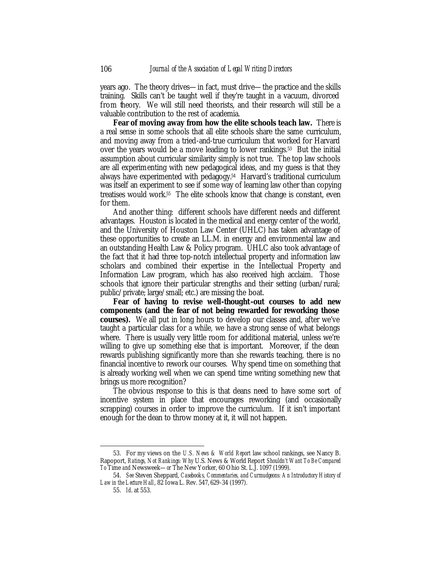years ago. The theory drives—in fact, must drive—the practice and the skills training. Skills can't be taught well if they're taught in a vacuum, divorced from theory. We will still need theorists, and their research will still be a valuable contribution to the rest of academia.

**Fear of moving away from how the elite schools teach law.** There is a real sense in some schools that all elite schools share the same curriculum, and moving away from a tried-and-true curriculum that worked for Harvard over the years would be a move leading to lower rankings.53 But the initial assumption about curricular similarity simply is not true. The top law schools are all experimenting with new pedagogical ideas, and my guess is that they always have experimented with pedagogy.54 Harvard's traditional curriculum was itself an experiment to see if some way of learning law other than copying treatises would work.55 The elite schools know that change is constant, even for them.

And another thing: different schools have different needs and different advantages. Houston is located in the medical and energy center of the world, and the University of Houston Law Center (UHLC) has taken advantage of these opportunities to create an LL.M. in energy and environmental law and an outstanding Health Law & Policy program. UHLC also took advantage of the fact that it had three top-notch intellectual property and information law scholars and combined their expertise in the Intellectual Property and Information Law program, which has also received high acclaim. Those schools that ignore their particular strengths and their setting (urban/rural; public/private; large/small; etc.) are missing the boat.

**Fear of having to revise well-thought-out courses to add new components (and the fear of not being rewarded for reworking those courses).** We all put in long hours to develop our classes and, after we've taught a particular class for a while, we have a strong sense of what belongs where. There is usually very little room for additional material, unless we're willing to give up something else that is important. Moreover, if the dean rewards publishing significantly more than she rewards teaching, there is no financial incentive to rework our courses. Why spend time on something that is already working well when we can spend time writing something new that brings us more recognition?

The obvious response to this is that deans need to have some sort of incentive system in place that encourages reworking (and occasionally scrapping) courses in order to improve the curriculum. If it isn't important enough for the dean to throw money at it, it will not happen.

<sup>53.</sup> For my views on the *U.S. News & World Report* law school rankings, see Nancy B. Rapoport, *Ratings, Not Rankings: Why* U.S. News & World Report *Shouldn't Want To Be Compared To* Time *and* Newsweek—*or* The New Yorker, 60 Ohio St. L.J. 1097 (1999).

<sup>54.</sup> *See* Steven Sheppard, *Casebooks, Commentaries, and Curmudgeons: An Introductory History of Law in the Lecture Hall*, 82 Iowa L. Rev. 547, 629-34 (1997).

<sup>55.</sup> *Id*. at 553.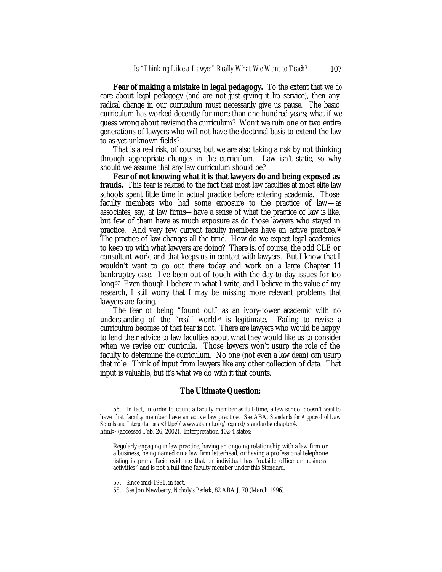**Fear of making a mistake in legal pedagogy.** To the extent that we *do* care about legal pedagogy (and are not just giving it lip service), then any radical change in our curriculum must necessarily give us pause. The basic curriculum has worked decently for more than one hundred years; what if we guess wrong about revising the curriculum? Won't we ruin one or two entire generations of lawyers who will not have the doctrinal basis to extend the law to as-yet-unknown fields?

That is a real risk, of course, but we are also taking a risk by not thinking through appropriate changes in the curriculum. Law isn't static, so why should we assume that any law curriculum should be?

**Fear of not knowing what it is that lawyers do and being exposed as frauds.** This fear is related to the fact that most law faculties at most elite law schools spent little time in actual practice before entering academia. Those faculty members who had some exposure to the practice of law—as associates, say, at law firms—have a sense of what the practice of law is like, but few of them have as much exposure as do those lawyers who stayed in practice. And very few current faculty members have an active practice.<sup>56</sup> The practice of law changes all the time. How do we expect legal academics to keep up with what lawyers are doing? There is, of course, the odd CLE or consultant work, and that keeps us in contact with lawyers. But I know that I wouldn't want to go out there today and work on a large Chapter 11 bankruptcy case. I've been out of touch with the day-to-day issues for too long.57 Even though I believe in what I write, and I believe in the value of my research, I still worry that I may be missing more relevant problems that lawyers are facing.

The fear of being "found out" as an ivory-tower academic with no understanding of the "real" world<sup>58</sup> is legitimate. Failing to revise a curriculum because of that fear is not. There are lawyers who would be happy to lend their advice to law faculties about what they would like us to consider when we revise our curricula. Those have nevers won't usurp the role of the faculty to determine the curriculum. No one (not even a law dean) can usurp that role. Think of input from lawyers like any other collection of data. That input is valuable, but it's what we do with it that counts.

#### *The Ultimate Question:*

<sup>56.</sup> In fact, in order to count a faculty member as full-time, a law school doesn't *want* to have that faculty member have an active law practice. *See* ABA, *Standards for Approval of Law Schools and Interpretations* <http://www.abanet.org/legaled/standards/chapter4. html> (accessed Feb. 26, 2002). Interpretation 402-4 states:

Regularly engaging in law practice, having an ongoing relationship with a law firm or a business, being named on a law firm letterhead, or having a professional telephone listing is prima facie evidence that an individual has "outside office or business activities" and is not a full-time faculty member under this Standard.

<sup>57.</sup> Since mid-1991, in fact.

<sup>58.</sup> *See* Jon Newberry, *Nobody's Perfeck*, 82 ABA J. 70 (March 1996).